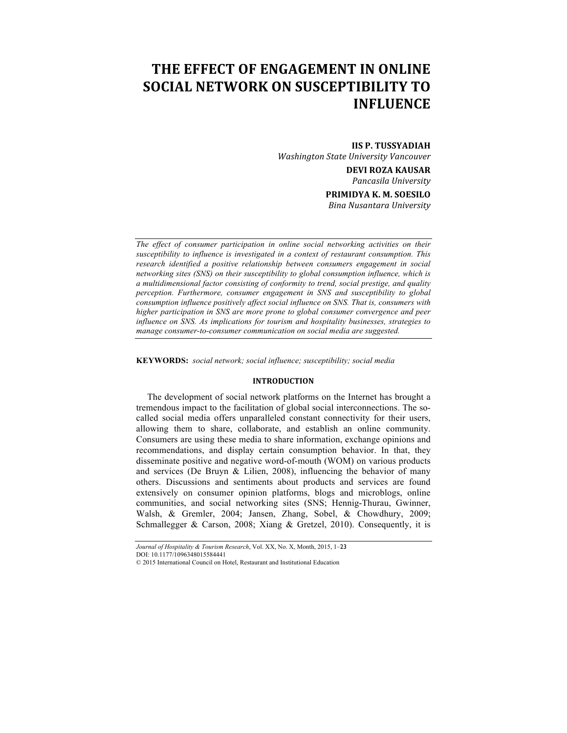# **THE EFFECT OF ENGAGEMENT IN ONLINE SOCIAL NETWORK ON SUSCEPTIBILITY TO INFLUENCE**

**IIS P. TUSSYADIAH** *Washington State University Vancouver* **DEVI ROZA KAUSAR** *Pancasila University* **PRIMIDYA K. M. SOESILO** *Bina Nusantara University*

*The effect of consumer participation in online social networking activities on their susceptibility to influence is investigated in a context of restaurant consumption. This*  research identified a positive relationship between consumers engagement in social *networking sites (SNS) on their susceptibility to global consumption influence, which is a multidimensional factor consisting of conformity to trend, social prestige, and quality perception. Furthermore, consumer engagement in SNS and susceptibility to global consumption influence positively affect social influence on SNS. That is, consumers with higher participation in SNS are more prone to global consumer convergence and peer influence on SNS. As implications for tourism and hospitality businesses, strategies to manage consumer-to-consumer communication on social media are suggested.*

**KEYWORDS:** *social network; social influence; susceptibility; social media*

#### **INTRODUCTION**

The development of social network platforms on the Internet has brought a tremendous impact to the facilitation of global social interconnections. The socalled social media offers unparalleled constant connectivity for their users, allowing them to share, collaborate, and establish an online community. Consumers are using these media to share information, exchange opinions and recommendations, and display certain consumption behavior. In that, they disseminate positive and negative word-of-mouth (WOM) on various products and services (De Bruyn & Lilien, 2008), influencing the behavior of many others. Discussions and sentiments about products and services are found extensively on consumer opinion platforms, blogs and microblogs, online communities, and social networking sites (SNS; Hennig-Thurau, Gwinner, Walsh, & Gremler, 2004; Jansen, Zhang, Sobel, & Chowdhury, 2009; Schmallegger & Carson, 2008; Xiang & Gretzel, 2010). Consequently, it is

*Journal of Hospitality & Tourism Research*, Vol. XX, No. X, Month, 2015, 1–23

DOI: 10.1177/1096348015584441

<sup>© 2015</sup> International Council on Hotel, Restaurant and Institutional Education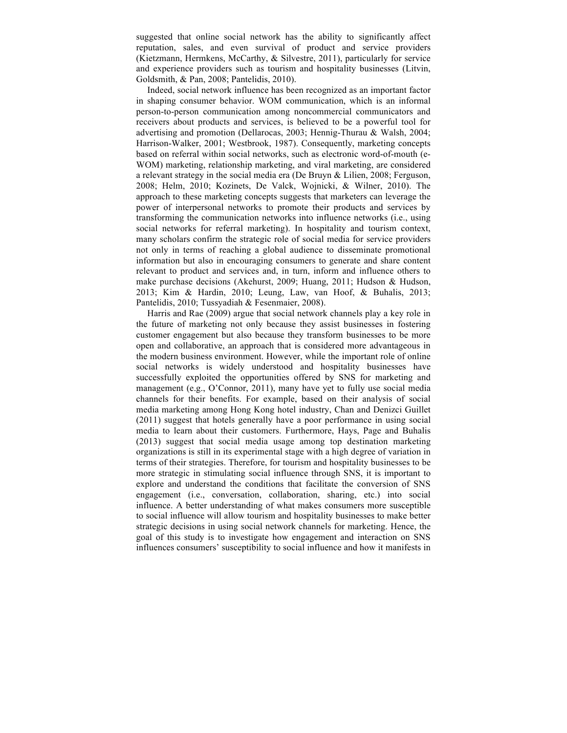suggested that online social network has the ability to significantly affect reputation, sales, and even survival of product and service providers (Kietzmann, Hermkens, McCarthy, & Silvestre, 2011), particularly for service and experience providers such as tourism and hospitality businesses (Litvin, Goldsmith, & Pan, 2008; Pantelidis, 2010).

Indeed, social network influence has been recognized as an important factor in shaping consumer behavior. WOM communication, which is an informal person-to-person communication among noncommercial communicators and receivers about products and services, is believed to be a powerful tool for advertising and promotion (Dellarocas, 2003; Hennig-Thurau & Walsh, 2004; Harrison-Walker, 2001; Westbrook, 1987). Consequently, marketing concepts based on referral within social networks, such as electronic word-of-mouth (e-WOM) marketing, relationship marketing, and viral marketing, are considered a relevant strategy in the social media era (De Bruyn & Lilien, 2008; Ferguson, 2008; Helm, 2010; Kozinets, De Valck, Wojnicki, & Wilner, 2010). The approach to these marketing concepts suggests that marketers can leverage the power of interpersonal networks to promote their products and services by transforming the communication networks into influence networks (i.e., using social networks for referral marketing). In hospitality and tourism context, many scholars confirm the strategic role of social media for service providers not only in terms of reaching a global audience to disseminate promotional information but also in encouraging consumers to generate and share content relevant to product and services and, in turn, inform and influence others to make purchase decisions (Akehurst, 2009; Huang, 2011; Hudson & Hudson, 2013; Kim & Hardin, 2010; Leung, Law, van Hoof, & Buhalis, 2013; Pantelidis, 2010; Tussyadiah & Fesenmaier, 2008).

Harris and Rae (2009) argue that social network channels play a key role in the future of marketing not only because they assist businesses in fostering customer engagement but also because they transform businesses to be more open and collaborative, an approach that is considered more advantageous in the modern business environment. However, while the important role of online social networks is widely understood and hospitality businesses have successfully exploited the opportunities offered by SNS for marketing and management (e.g., O'Connor, 2011), many have yet to fully use social media channels for their benefits. For example, based on their analysis of social media marketing among Hong Kong hotel industry, Chan and Denizci Guillet (2011) suggest that hotels generally have a poor performance in using social media to learn about their customers. Furthermore, Hays, Page and Buhalis (2013) suggest that social media usage among top destination marketing organizations is still in its experimental stage with a high degree of variation in terms of their strategies. Therefore, for tourism and hospitality businesses to be more strategic in stimulating social influence through SNS, it is important to explore and understand the conditions that facilitate the conversion of SNS engagement (i.e., conversation, collaboration, sharing, etc.) into social influence. A better understanding of what makes consumers more susceptible to social influence will allow tourism and hospitality businesses to make better strategic decisions in using social network channels for marketing. Hence, the goal of this study is to investigate how engagement and interaction on SNS influences consumers' susceptibility to social influence and how it manifests in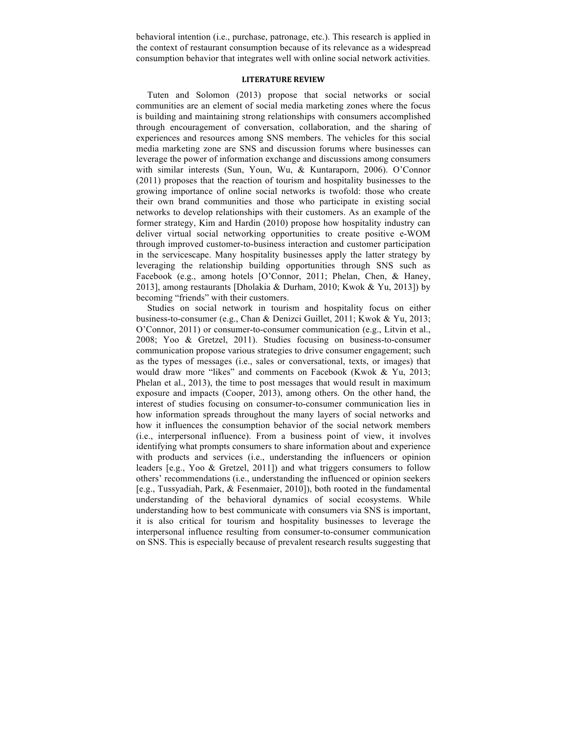behavioral intention (i.e., purchase, patronage, etc.). This research is applied in the context of restaurant consumption because of its relevance as a widespread consumption behavior that integrates well with online social network activities.

## **LITERATURE REVIEW**

Tuten and Solomon (2013) propose that social networks or social communities are an element of social media marketing zones where the focus is building and maintaining strong relationships with consumers accomplished through encouragement of conversation, collaboration, and the sharing of experiences and resources among SNS members. The vehicles for this social media marketing zone are SNS and discussion forums where businesses can leverage the power of information exchange and discussions among consumers with similar interests (Sun, Youn, Wu, & Kuntaraporn, 2006). O'Connor (2011) proposes that the reaction of tourism and hospitality businesses to the growing importance of online social networks is twofold: those who create their own brand communities and those who participate in existing social networks to develop relationships with their customers. As an example of the former strategy, Kim and Hardin (2010) propose how hospitality industry can deliver virtual social networking opportunities to create positive e-WOM through improved customer-to-business interaction and customer participation in the servicescape. Many hospitality businesses apply the latter strategy by leveraging the relationship building opportunities through SNS such as Facebook (e.g., among hotels [O'Connor, 2011; Phelan, Chen, & Haney, 2013], among restaurants [Dholakia & Durham, 2010; Kwok & Yu, 2013]) by becoming "friends" with their customers.

Studies on social network in tourism and hospitality focus on either business-to-consumer (e.g., Chan & Denizci Guillet, 2011; Kwok & Yu, 2013; O'Connor, 2011) or consumer-to-consumer communication (e.g., Litvin et al., 2008; Yoo & Gretzel, 2011). Studies focusing on business-to-consumer communication propose various strategies to drive consumer engagement; such as the types of messages (i.e., sales or conversational, texts, or images) that would draw more "likes" and comments on Facebook (Kwok & Yu, 2013; Phelan et al., 2013), the time to post messages that would result in maximum exposure and impacts (Cooper, 2013), among others. On the other hand, the interest of studies focusing on consumer-to-consumer communication lies in how information spreads throughout the many layers of social networks and how it influences the consumption behavior of the social network members (i.e., interpersonal influence). From a business point of view, it involves identifying what prompts consumers to share information about and experience with products and services (i.e., understanding the influencers or opinion leaders [e.g., Yoo & Gretzel, 2011]) and what triggers consumers to follow others' recommendations (i.e., understanding the influenced or opinion seekers [e.g., Tussyadiah, Park, & Fesenmaier, 2010]), both rooted in the fundamental understanding of the behavioral dynamics of social ecosystems. While understanding how to best communicate with consumers via SNS is important, it is also critical for tourism and hospitality businesses to leverage the interpersonal influence resulting from consumer-to-consumer communication on SNS. This is especially because of prevalent research results suggesting that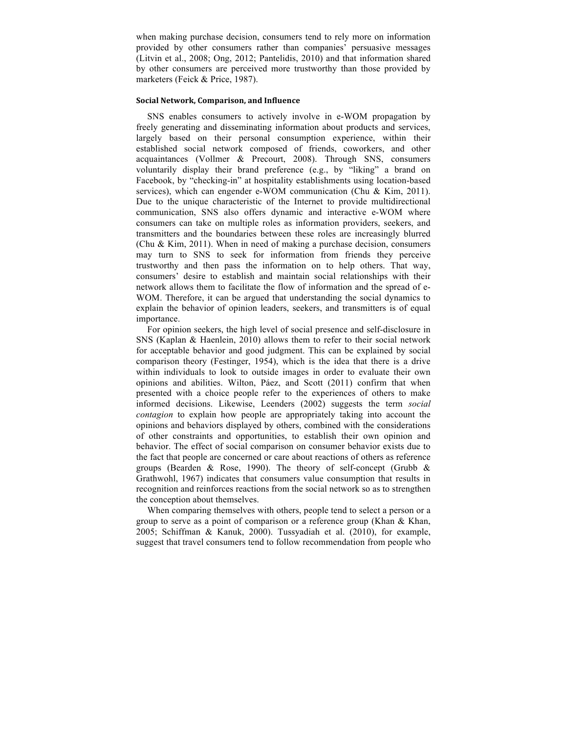when making purchase decision, consumers tend to rely more on information provided by other consumers rather than companies' persuasive messages (Litvin et al., 2008; Ong, 2012; Pantelidis, 2010) and that information shared by other consumers are perceived more trustworthy than those provided by marketers (Feick & Price, 1987).

## **Social Network, Comparison, and Influence**

SNS enables consumers to actively involve in e-WOM propagation by freely generating and disseminating information about products and services, largely based on their personal consumption experience, within their established social network composed of friends, coworkers, and other acquaintances (Vollmer & Precourt, 2008). Through SNS, consumers voluntarily display their brand preference (e.g., by "liking" a brand on Facebook, by "checking-in" at hospitality establishments using location-based services), which can engender e-WOM communication (Chu & Kim, 2011). Due to the unique characteristic of the Internet to provide multidirectional communication, SNS also offers dynamic and interactive e-WOM where consumers can take on multiple roles as information providers, seekers, and transmitters and the boundaries between these roles are increasingly blurred (Chu & Kim, 2011). When in need of making a purchase decision, consumers may turn to SNS to seek for information from friends they perceive trustworthy and then pass the information on to help others. That way, consumers' desire to establish and maintain social relationships with their network allows them to facilitate the flow of information and the spread of e-WOM. Therefore, it can be argued that understanding the social dynamics to explain the behavior of opinion leaders, seekers, and transmitters is of equal importance.

For opinion seekers, the high level of social presence and self-disclosure in SNS (Kaplan & Haenlein, 2010) allows them to refer to their social network for acceptable behavior and good judgment. This can be explained by social comparison theory (Festinger, 1954), which is the idea that there is a drive within individuals to look to outside images in order to evaluate their own opinions and abilities. Wilton, Páez, and Scott (2011) confirm that when presented with a choice people refer to the experiences of others to make informed decisions. Likewise, Leenders (2002) suggests the term *social contagion* to explain how people are appropriately taking into account the opinions and behaviors displayed by others, combined with the considerations of other constraints and opportunities, to establish their own opinion and behavior. The effect of social comparison on consumer behavior exists due to the fact that people are concerned or care about reactions of others as reference groups (Bearden & Rose, 1990). The theory of self-concept (Grubb & Grathwohl, 1967) indicates that consumers value consumption that results in recognition and reinforces reactions from the social network so as to strengthen the conception about themselves.

When comparing themselves with others, people tend to select a person or a group to serve as a point of comparison or a reference group (Khan & Khan, 2005; Schiffman & Kanuk, 2000). Tussyadiah et al. (2010), for example, suggest that travel consumers tend to follow recommendation from people who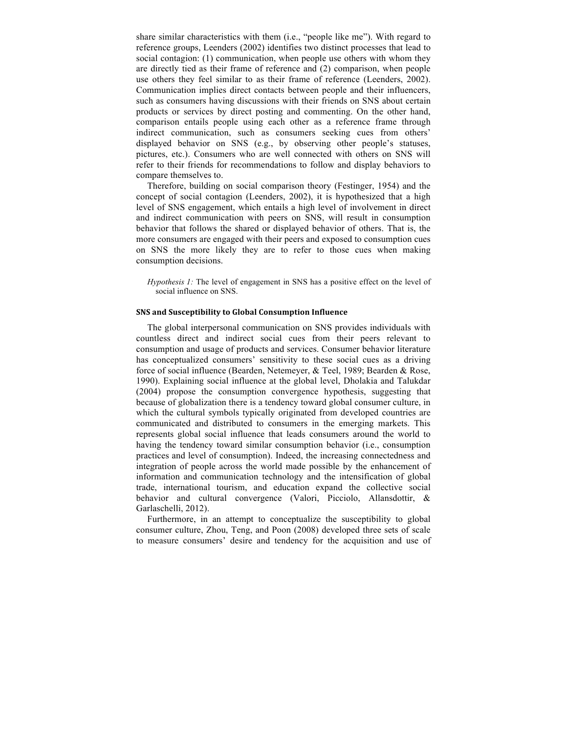share similar characteristics with them (i.e., "people like me"). With regard to reference groups, Leenders (2002) identifies two distinct processes that lead to social contagion: (1) communication, when people use others with whom they are directly tied as their frame of reference and (2) comparison, when people use others they feel similar to as their frame of reference (Leenders, 2002). Communication implies direct contacts between people and their influencers, such as consumers having discussions with their friends on SNS about certain products or services by direct posting and commenting. On the other hand, comparison entails people using each other as a reference frame through indirect communication, such as consumers seeking cues from others' displayed behavior on SNS (e.g., by observing other people's statuses, pictures, etc.). Consumers who are well connected with others on SNS will refer to their friends for recommendations to follow and display behaviors to compare themselves to.

Therefore, building on social comparison theory (Festinger, 1954) and the concept of social contagion (Leenders, 2002), it is hypothesized that a high level of SNS engagement, which entails a high level of involvement in direct and indirect communication with peers on SNS, will result in consumption behavior that follows the shared or displayed behavior of others. That is, the more consumers are engaged with their peers and exposed to consumption cues on SNS the more likely they are to refer to those cues when making consumption decisions.

*Hypothesis 1:* The level of engagement in SNS has a positive effect on the level of social influence on SNS.

#### **SNS** and Susceptibility to Global Consumption Influence

The global interpersonal communication on SNS provides individuals with countless direct and indirect social cues from their peers relevant to consumption and usage of products and services. Consumer behavior literature has conceptualized consumers' sensitivity to these social cues as a driving force of social influence (Bearden, Netemeyer, & Teel, 1989; Bearden & Rose, 1990). Explaining social influence at the global level, Dholakia and Talukdar (2004) propose the consumption convergence hypothesis, suggesting that because of globalization there is a tendency toward global consumer culture, in which the cultural symbols typically originated from developed countries are communicated and distributed to consumers in the emerging markets. This represents global social influence that leads consumers around the world to having the tendency toward similar consumption behavior (i.e., consumption practices and level of consumption). Indeed, the increasing connectedness and integration of people across the world made possible by the enhancement of information and communication technology and the intensification of global trade, international tourism, and education expand the collective social behavior and cultural convergence (Valori, Picciolo, Allansdottir, & Garlaschelli, 2012).

Furthermore, in an attempt to conceptualize the susceptibility to global consumer culture, Zhou, Teng, and Poon (2008) developed three sets of scale to measure consumers' desire and tendency for the acquisition and use of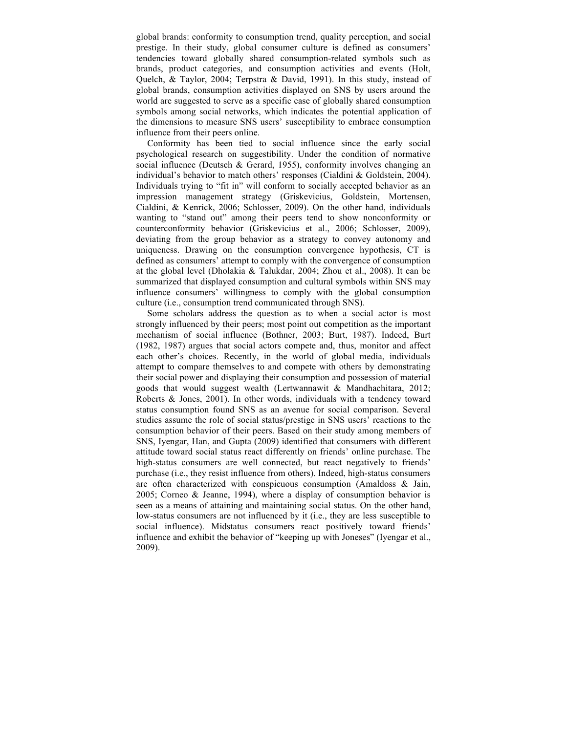global brands: conformity to consumption trend, quality perception, and social prestige. In their study, global consumer culture is defined as consumers' tendencies toward globally shared consumption-related symbols such as brands, product categories, and consumption activities and events (Holt, Quelch, & Taylor, 2004; Terpstra & David, 1991). In this study, instead of global brands, consumption activities displayed on SNS by users around the world are suggested to serve as a specific case of globally shared consumption symbols among social networks, which indicates the potential application of the dimensions to measure SNS users' susceptibility to embrace consumption influence from their peers online.

Conformity has been tied to social influence since the early social psychological research on suggestibility. Under the condition of normative social influence (Deutsch & Gerard, 1955), conformity involves changing an individual's behavior to match others' responses (Cialdini & Goldstein, 2004). Individuals trying to "fit in" will conform to socially accepted behavior as an impression management strategy (Griskevicius, Goldstein, Mortensen, Cialdini, & Kenrick, 2006; Schlosser, 2009). On the other hand, individuals wanting to "stand out" among their peers tend to show nonconformity or counterconformity behavior (Griskevicius et al., 2006; Schlosser, 2009), deviating from the group behavior as a strategy to convey autonomy and uniqueness. Drawing on the consumption convergence hypothesis, CT is defined as consumers' attempt to comply with the convergence of consumption at the global level (Dholakia & Talukdar, 2004; Zhou et al., 2008). It can be summarized that displayed consumption and cultural symbols within SNS may influence consumers' willingness to comply with the global consumption culture (i.e., consumption trend communicated through SNS).

Some scholars address the question as to when a social actor is most strongly influenced by their peers; most point out competition as the important mechanism of social influence (Bothner, 2003; Burt, 1987). Indeed, Burt (1982, 1987) argues that social actors compete and, thus, monitor and affect each other's choices. Recently, in the world of global media, individuals attempt to compare themselves to and compete with others by demonstrating their social power and displaying their consumption and possession of material goods that would suggest wealth (Lertwannawit & Mandhachitara, 2012; Roberts & Jones, 2001). In other words, individuals with a tendency toward status consumption found SNS as an avenue for social comparison. Several studies assume the role of social status/prestige in SNS users' reactions to the consumption behavior of their peers. Based on their study among members of SNS, Iyengar, Han, and Gupta (2009) identified that consumers with different attitude toward social status react differently on friends' online purchase. The high-status consumers are well connected, but react negatively to friends' purchase (i.e., they resist influence from others). Indeed, high-status consumers are often characterized with conspicuous consumption (Amaldoss & Jain, 2005; Corneo & Jeanne, 1994), where a display of consumption behavior is seen as a means of attaining and maintaining social status. On the other hand, low-status consumers are not influenced by it (i.e., they are less susceptible to social influence). Midstatus consumers react positively toward friends' influence and exhibit the behavior of "keeping up with Joneses" (Iyengar et al., 2009).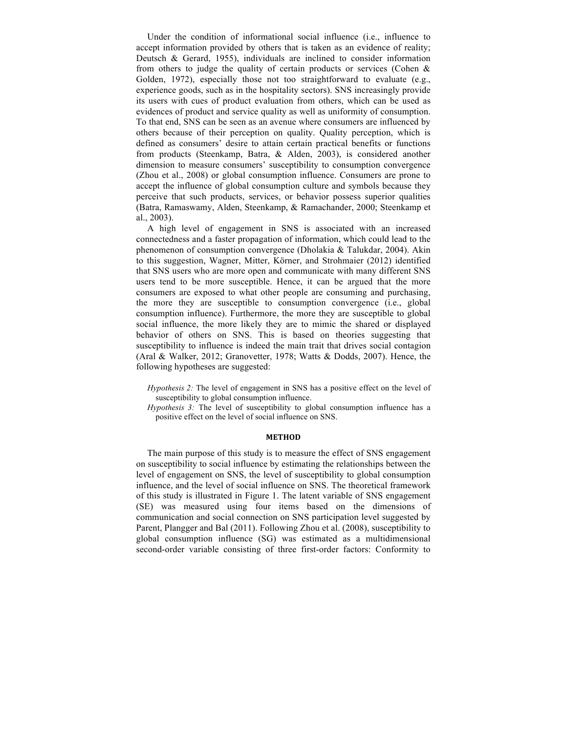Under the condition of informational social influence (i.e., influence to accept information provided by others that is taken as an evidence of reality; Deutsch & Gerard, 1955), individuals are inclined to consider information from others to judge the quality of certain products or services (Cohen & Golden, 1972), especially those not too straightforward to evaluate (e.g., experience goods, such as in the hospitality sectors). SNS increasingly provide its users with cues of product evaluation from others, which can be used as evidences of product and service quality as well as uniformity of consumption. To that end, SNS can be seen as an avenue where consumers are influenced by others because of their perception on quality. Quality perception, which is defined as consumers' desire to attain certain practical benefits or functions from products (Steenkamp, Batra, & Alden, 2003), is considered another dimension to measure consumers' susceptibility to consumption convergence (Zhou et al., 2008) or global consumption influence. Consumers are prone to accept the influence of global consumption culture and symbols because they perceive that such products, services, or behavior possess superior qualities (Batra, Ramaswamy, Alden, Steenkamp, & Ramachander, 2000; Steenkamp et al., 2003).

A high level of engagement in SNS is associated with an increased connectedness and a faster propagation of information, which could lead to the phenomenon of consumption convergence (Dholakia & Talukdar, 2004). Akin to this suggestion, Wagner, Mitter, Körner, and Strohmaier (2012) identified that SNS users who are more open and communicate with many different SNS users tend to be more susceptible. Hence, it can be argued that the more consumers are exposed to what other people are consuming and purchasing, the more they are susceptible to consumption convergence (i.e., global consumption influence). Furthermore, the more they are susceptible to global social influence, the more likely they are to mimic the shared or displayed behavior of others on SNS. This is based on theories suggesting that susceptibility to influence is indeed the main trait that drives social contagion (Aral & Walker, 2012; Granovetter, 1978; Watts & Dodds, 2007). Hence, the following hypotheses are suggested:

- *Hypothesis 2:* The level of engagement in SNS has a positive effect on the level of susceptibility to global consumption influence.
- *Hypothesis 3:* The level of susceptibility to global consumption influence has a positive effect on the level of social influence on SNS.

#### **METHOD**

The main purpose of this study is to measure the effect of SNS engagement on susceptibility to social influence by estimating the relationships between the level of engagement on SNS, the level of susceptibility to global consumption influence, and the level of social influence on SNS. The theoretical framework of this study is illustrated in Figure 1. The latent variable of SNS engagement (SE) was measured using four items based on the dimensions of communication and social connection on SNS participation level suggested by Parent, Plangger and Bal (2011). Following Zhou et al. (2008), susceptibility to global consumption influence (SG) was estimated as a multidimensional second-order variable consisting of three first-order factors: Conformity to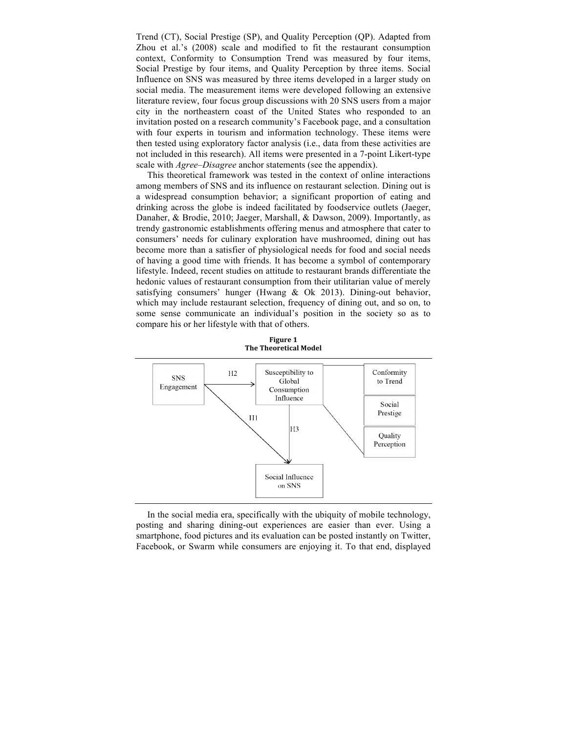Trend (CT), Social Prestige (SP), and Quality Perception (QP). Adapted from Zhou et al.'s (2008) scale and modified to fit the restaurant consumption context, Conformity to Consumption Trend was measured by four items, Social Prestige by four items, and Quality Perception by three items. Social Influence on SNS was measured by three items developed in a larger study on social media. The measurement items were developed following an extensive literature review, four focus group discussions with 20 SNS users from a major city in the northeastern coast of the United States who responded to an invitation posted on a research community's Facebook page, and a consultation with four experts in tourism and information technology. These items were then tested using exploratory factor analysis (i.e., data from these activities are not included in this research). All items were presented in a 7-point Likert-type scale with *Agree–Disagree* anchor statements (see the appendix).

This theoretical framework was tested in the context of online interactions among members of SNS and its influence on restaurant selection. Dining out is a widespread consumption behavior; a significant proportion of eating and drinking across the globe is indeed facilitated by foodservice outlets (Jaeger, Danaher, & Brodie, 2010; Jaeger, Marshall, & Dawson, 2009). Importantly, as trendy gastronomic establishments offering menus and atmosphere that cater to consumers' needs for culinary exploration have mushroomed, dining out has become more than a satisfier of physiological needs for food and social needs of having a good time with friends. It has become a symbol of contemporary lifestyle. Indeed, recent studies on attitude to restaurant brands differentiate the hedonic values of restaurant consumption from their utilitarian value of merely satisfying consumers' hunger (Hwang & Ok 2013). Dining-out behavior, which may include restaurant selection, frequency of dining out, and so on, to some sense communicate an individual's position in the society so as to compare his or her lifestyle with that of others.

**Figure 1 The Theoretical Model** 



In the social media era, specifically with the ubiquity of mobile technology, posting and sharing dining-out experiences are easier than ever. Using a smartphone, food pictures and its evaluation can be posted instantly on Twitter, Facebook, or Swarm while consumers are enjoying it. To that end, displayed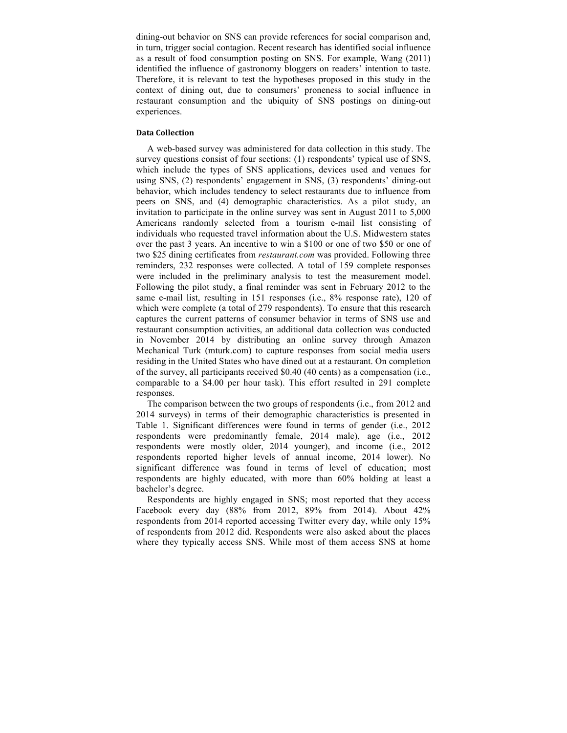dining-out behavior on SNS can provide references for social comparison and, in turn, trigger social contagion. Recent research has identified social influence as a result of food consumption posting on SNS. For example, Wang (2011) identified the influence of gastronomy bloggers on readers' intention to taste. Therefore, it is relevant to test the hypotheses proposed in this study in the context of dining out, due to consumers' proneness to social influence in restaurant consumption and the ubiquity of SNS postings on dining-out experiences.

## **Data Collection**

A web-based survey was administered for data collection in this study. The survey questions consist of four sections: (1) respondents' typical use of SNS, which include the types of SNS applications, devices used and venues for using SNS, (2) respondents' engagement in SNS, (3) respondents' dining-out behavior, which includes tendency to select restaurants due to influence from peers on SNS, and (4) demographic characteristics. As a pilot study, an invitation to participate in the online survey was sent in August 2011 to 5,000 Americans randomly selected from a tourism e-mail list consisting of individuals who requested travel information about the U.S. Midwestern states over the past 3 years. An incentive to win a \$100 or one of two \$50 or one of two \$25 dining certificates from *restaurant.com* was provided. Following three reminders, 232 responses were collected. A total of 159 complete responses were included in the preliminary analysis to test the measurement model. Following the pilot study, a final reminder was sent in February 2012 to the same e-mail list, resulting in 151 responses (i.e., 8% response rate), 120 of which were complete (a total of 279 respondents). To ensure that this research captures the current patterns of consumer behavior in terms of SNS use and restaurant consumption activities, an additional data collection was conducted in November 2014 by distributing an online survey through Amazon Mechanical Turk (mturk.com) to capture responses from social media users residing in the United States who have dined out at a restaurant. On completion of the survey, all participants received \$0.40 (40 cents) as a compensation (i.e., comparable to a \$4.00 per hour task). This effort resulted in 291 complete responses.

The comparison between the two groups of respondents (i.e., from 2012 and 2014 surveys) in terms of their demographic characteristics is presented in Table 1. Significant differences were found in terms of gender (i.e., 2012 respondents were predominantly female, 2014 male), age (i.e., 2012 respondents were mostly older, 2014 younger), and income (i.e., 2012 respondents reported higher levels of annual income, 2014 lower). No significant difference was found in terms of level of education; most respondents are highly educated, with more than 60% holding at least a bachelor's degree.

Respondents are highly engaged in SNS; most reported that they access Facebook every day (88% from 2012, 89% from 2014). About 42% respondents from 2014 reported accessing Twitter every day, while only 15% of respondents from 2012 did. Respondents were also asked about the places where they typically access SNS. While most of them access SNS at home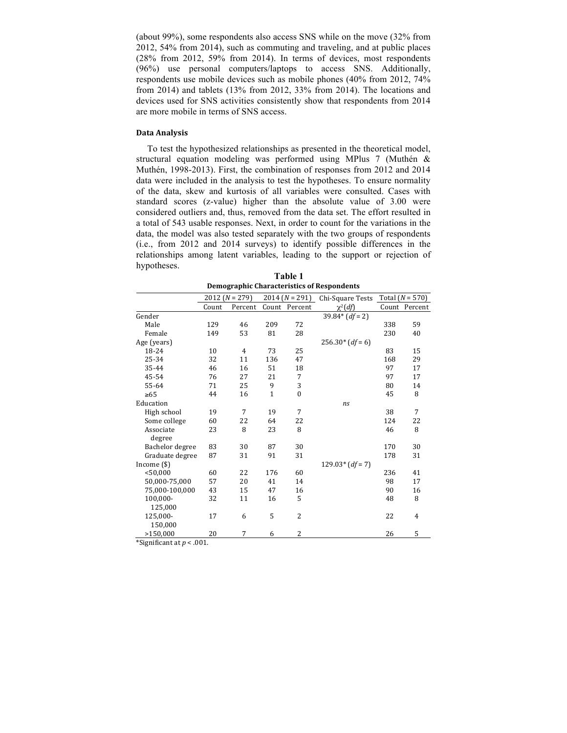(about 99%), some respondents also access SNS while on the move (32% from 2012, 54% from 2014), such as commuting and traveling, and at public places (28% from 2012, 59% from 2014). In terms of devices, most respondents (96%) use personal computers/laptops to access SNS. Additionally, respondents use mobile devices such as mobile phones (40% from 2012, 74% from 2014) and tablets (13% from 2012, 33% from 2014). The locations and devices used for SNS activities consistently show that respondents from 2014 are more mobile in terms of SNS access.

## **Data Analysis**

To test the hypothesized relationships as presented in the theoretical model, structural equation modeling was performed using MPlus 7 (Muthén & Muthén, 1998-2013). First, the combination of responses from 2012 and 2014 data were included in the analysis to test the hypotheses. To ensure normality of the data, skew and kurtosis of all variables were consulted. Cases with standard scores (z-value) higher than the absolute value of 3.00 were considered outliers and, thus, removed from the data set. The effort resulted in a total of 543 usable responses. Next, in order to count for the variations in the data, the model was also tested separately with the two groups of respondents (i.e., from 2012 and 2014 surveys) to identify possible differences in the relationships among latent variables, leading to the support or rejection of hypotheses.

**Table 1 Demographic Characteristics of Respondents**

|                 | $2012 (N = 279)$ |                | $2014 (N = 291)$ |                  | Chi-Square Tests  | Total $(N = 570)$ |               |
|-----------------|------------------|----------------|------------------|------------------|-------------------|-------------------|---------------|
|                 | Count            | Percent        | Count            | Percent          | $\chi^2(df)$      |                   | Count Percent |
| Gender          |                  |                |                  |                  | $39.84*(df = 2)$  |                   |               |
| Male            | 129              | 46             | 209              | 72               |                   | 338               | 59            |
| Female          | 149              | 53             | 81               | 28               |                   | 230               | 40            |
| Age (years)     |                  |                |                  |                  | $256.30*(df=6)$   |                   |               |
| 18-24           | 10               | $\overline{4}$ | 73               | 25               |                   | 83                | 15            |
| 25-34           | 32               | 11             | 136              | 47               |                   | 168               | 29            |
| 35-44           | 46               | 16             | 51               | 18               |                   | 97                | 17            |
| 45-54           | 76               | 27             | 21               | 7                |                   | 97                | 17            |
| 55-64           | 71               | 25             | 9                | 3                |                   | 80                | 14            |
| $\geq 65$       | 44               | 16             | $\mathbf{1}$     | $\boldsymbol{0}$ |                   | 45                | 8             |
| Education       |                  |                |                  |                  | ns                |                   |               |
| High school     | 19               | 7              | 19               | 7                |                   | 38                | 7             |
| Some college    | 60               | 22             | 64               | 22               |                   | 124               | 22            |
| Associate       | 23               | 8              | 23               | 8                |                   | 46                | 8             |
| degree          |                  |                |                  |                  |                   |                   |               |
| Bachelor degree | 83               | 30             | 87               | 30               |                   | 170               | 30            |
| Graduate degree | 87               | 31             | 91               | 31               |                   | 178               | 31            |
| Income $(\$)$   |                  |                |                  |                  | $129.03*(df = 7)$ |                   |               |
| < 50,000        | 60               | 22             | 176              | 60               |                   | 236               | 41            |
| 50,000-75,000   | 57               | 20             | 41               | 14               |                   | 98                | 17            |
| 75,000-100,000  | 43               | 15             | 47               | 16               |                   | 90                | 16            |
| 100,000-        | 32               | 11             | 16               | 5                |                   | 48                | 8             |
| 125,000         |                  |                |                  |                  |                   |                   |               |
| 125,000-        | 17               | 6              | 5                | 2                |                   | 22                | 4             |
| 150,000         |                  |                |                  |                  |                   |                   |               |
| >150,000        | 20               | 7              | 6                | $\overline{2}$   |                   | 26                | 5             |

\*Significant at  $p < .001$ .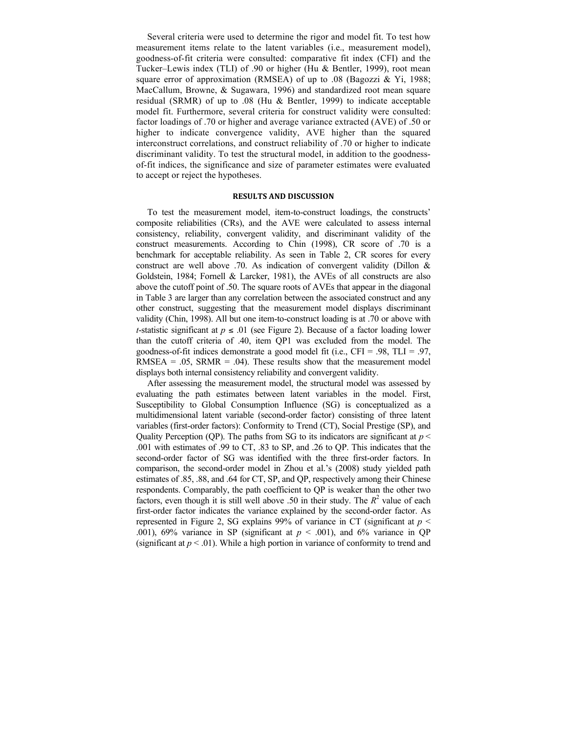Several criteria were used to determine the rigor and model fit. To test how measurement items relate to the latent variables (i.e., measurement model), goodness-of-fit criteria were consulted: comparative fit index (CFI) and the Tucker–Lewis index (TLI) of .90 or higher (Hu & Bentler, 1999), root mean square error of approximation (RMSEA) of up to .08 (Bagozzi  $&$  Yi, 1988; MacCallum, Browne, & Sugawara, 1996) and standardized root mean square residual (SRMR) of up to .08 (Hu & Bentler, 1999) to indicate acceptable model fit. Furthermore, several criteria for construct validity were consulted: factor loadings of .70 or higher and average variance extracted (AVE) of .50 or higher to indicate convergence validity, AVE higher than the squared interconstruct correlations, and construct reliability of .70 or higher to indicate discriminant validity. To test the structural model, in addition to the goodnessof-fit indices, the significance and size of parameter estimates were evaluated to accept or reject the hypotheses.

## **RESULTS AND DISCUSSION**

To test the measurement model, item-to-construct loadings, the constructs' composite reliabilities (CRs), and the AVE were calculated to assess internal consistency, reliability, convergent validity, and discriminant validity of the construct measurements. According to Chin (1998), CR score of .70 is a benchmark for acceptable reliability. As seen in Table 2, CR scores for every construct are well above .70. As indication of convergent validity (Dillon & Goldstein, 1984; Fornell & Larcker, 1981), the AVEs of all constructs are also above the cutoff point of .50. The square roots of AVEs that appear in the diagonal in Table 3 are larger than any correlation between the associated construct and any other construct, suggesting that the measurement model displays discriminant validity (Chin, 1998). All but one item-to-construct loading is at .70 or above with *t*-statistic significant at  $p \leq 0.01$  (see Figure 2). Because of a factor loading lower than the cutoff criteria of .40, item QP1 was excluded from the model. The goodness-of-fit indices demonstrate a good model fit (i.e.,  $CFI = .98$ ,  $TLI = .97$ , RMSEA =  $.05$ , SRMR =  $.04$ ). These results show that the measurement model displays both internal consistency reliability and convergent validity.

After assessing the measurement model, the structural model was assessed by evaluating the path estimates between latent variables in the model. First, Susceptibility to Global Consumption Influence (SG) is conceptualized as a multidimensional latent variable (second-order factor) consisting of three latent variables (first-order factors): Conformity to Trend (CT), Social Prestige (SP), and Quality Perception (QP). The paths from SG to its indicators are significant at  $p <$ .001 with estimates of .99 to CT, .83 to SP, and .26 to QP. This indicates that the second-order factor of SG was identified with the three first-order factors. In comparison, the second-order model in Zhou et al.'s (2008) study yielded path estimates of .85, .88, and .64 for CT, SP, and QP, respectively among their Chinese respondents. Comparably, the path coefficient to QP is weaker than the other two factors, even though it is still well above .50 in their study. The  $R^2$  value of each first-order factor indicates the variance explained by the second-order factor. As represented in Figure 2, SG explains 99% of variance in CT (significant at *p* < .001), 69% variance in SP (significant at  $p < .001$ ), and 6% variance in QP (significant at  $p < .01$ ). While a high portion in variance of conformity to trend and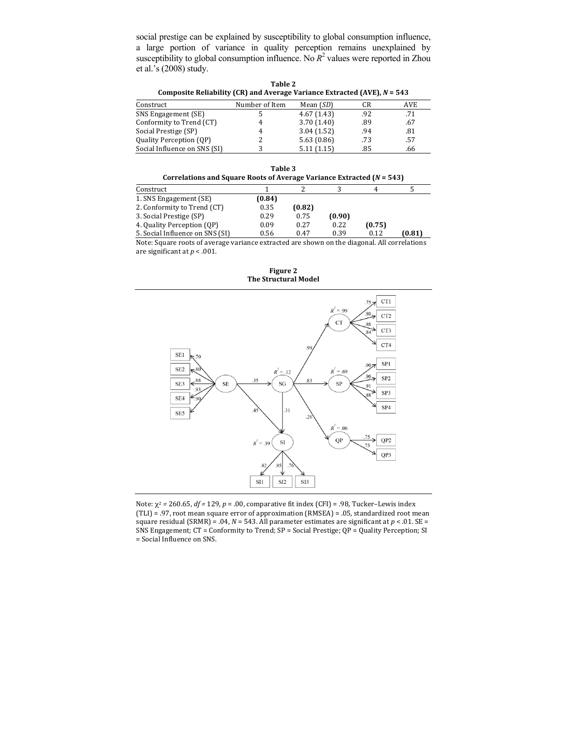social prestige can be explained by susceptibility to global consumption influence, a large portion of variance in quality perception remains unexplained by susceptibility to global consumption influence. No  $R^2$  values were reported in Zhou et al.'s (2008) study.

| Table 2                                                                    |
|----------------------------------------------------------------------------|
| Composite Reliability (CR) and Average Variance Extracted (AVE), $N = 543$ |

| Construct                    | Number of Item | Mean $(SD)$ | CR  | AVE |
|------------------------------|----------------|-------------|-----|-----|
| SNS Engagement (SE)          |                | 4.67(1.43)  | .92 | .71 |
| Conformity to Trend (CT)     | 4              | 3.70(1.40)  | .89 | .67 |
| Social Prestige (SP)         | 4              | 3.04(1.52)  | .94 | .81 |
| Quality Perception (QP)      |                | 5.63(0.86)  | .73 | .57 |
| Social Influence on SNS (SI) |                | 5.11(1.15)  | .85 | .66 |

| Table 3                                                                 |  |
|-------------------------------------------------------------------------|--|
| Correlations and Square Roots of Average Variance Extracted $(N = 543)$ |  |

| Construct                                                                                                                                                |        |        |        |        |        |
|----------------------------------------------------------------------------------------------------------------------------------------------------------|--------|--------|--------|--------|--------|
| 1. SNS Engagement (SE)                                                                                                                                   | (0.84) |        |        |        |        |
| 2. Conformity to Trend (CT)                                                                                                                              | 0.35   | (0.82) |        |        |        |
| 3. Social Prestige (SP)                                                                                                                                  | 0.29   | 0.75   | (0.90) |        |        |
| 4. Quality Perception (QP)                                                                                                                               | 0.09   | 0.27   | 0.22   | (0.75) |        |
| 5. Social Influence on SNS (SI)                                                                                                                          | 0.56   | 0.47   | 0.39   | 0.12   | (0.81) |
| $\mathbf{M}$ and $\mathbf{C}$ are considered to the construction of the construction of $\mathbf{M}$ are constructed to the construction of $\mathbf{M}$ |        |        |        |        |        |

Note: Square roots of average variance extracted are shown on the diagonal. All correlations are significant at  $p < .001$ .

**Figure 2** The Structural Model



Note:  $\chi^2$  = 260.65, *df* = 129, *p* = .00, comparative fit index (CFI) = .98, Tucker–Lewis index (TLI) = .97, root mean square error of approximation (RMSEA) = .05, standardized root mean square residual (SRMR) = .04,  $N = 543$ . All parameter estimates are significant at  $p < 0.01$ . SE = SNS Engagement;  $CT =$  Conformity to Trend;  $SP =$  Social Prestige;  $QP =$  Quality Perception; SI = Social Influence on SNS.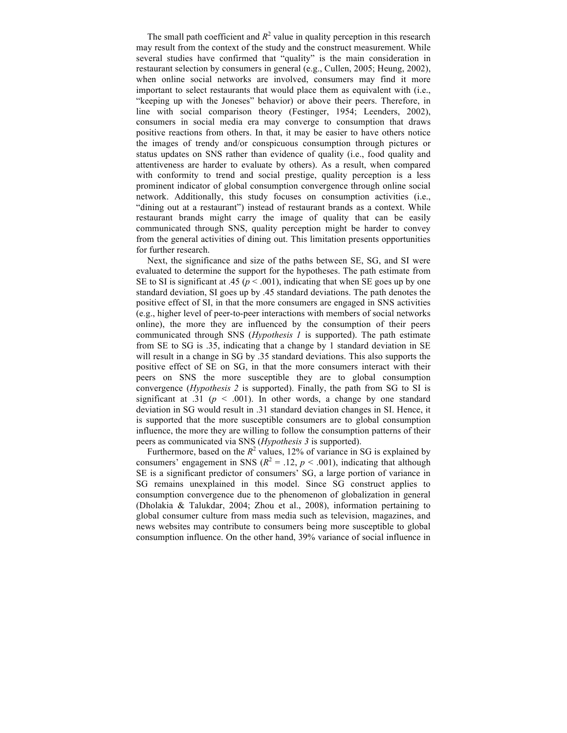The small path coefficient and  $R^2$  value in quality perception in this research may result from the context of the study and the construct measurement. While several studies have confirmed that "quality" is the main consideration in restaurant selection by consumers in general (e.g., Cullen, 2005; Heung, 2002), when online social networks are involved, consumers may find it more important to select restaurants that would place them as equivalent with (i.e., "keeping up with the Joneses" behavior) or above their peers. Therefore, in line with social comparison theory (Festinger, 1954; Leenders, 2002), consumers in social media era may converge to consumption that draws positive reactions from others. In that, it may be easier to have others notice the images of trendy and/or conspicuous consumption through pictures or status updates on SNS rather than evidence of quality (i.e., food quality and attentiveness are harder to evaluate by others). As a result, when compared with conformity to trend and social prestige, quality perception is a less prominent indicator of global consumption convergence through online social network. Additionally, this study focuses on consumption activities (i.e., "dining out at a restaurant") instead of restaurant brands as a context. While restaurant brands might carry the image of quality that can be easily communicated through SNS, quality perception might be harder to convey from the general activities of dining out. This limitation presents opportunities for further research.

Next, the significance and size of the paths between SE, SG, and SI were evaluated to determine the support for the hypotheses. The path estimate from SE to SI is significant at .45 ( $p < .001$ ), indicating that when SE goes up by one standard deviation, SI goes up by .45 standard deviations. The path denotes the positive effect of SI, in that the more consumers are engaged in SNS activities (e.g., higher level of peer-to-peer interactions with members of social networks online), the more they are influenced by the consumption of their peers communicated through SNS (*Hypothesis 1* is supported). The path estimate from SE to SG is .35, indicating that a change by 1 standard deviation in SE will result in a change in SG by .35 standard deviations. This also supports the positive effect of SE on SG, in that the more consumers interact with their peers on SNS the more susceptible they are to global consumption convergence (*Hypothesis 2* is supported). Finally, the path from SG to SI is significant at .31 ( $p \le 0.001$ ). In other words, a change by one standard deviation in SG would result in .31 standard deviation changes in SI. Hence, it is supported that the more susceptible consumers are to global consumption influence, the more they are willing to follow the consumption patterns of their peers as communicated via SNS (*Hypothesis 3* is supported).

Furthermore, based on the  $R^2$  values, 12% of variance in SG is explained by consumers' engagement in SNS ( $R^2 = .12$ ,  $p < .001$ ), indicating that although SE is a significant predictor of consumers' SG, a large portion of variance in SG remains unexplained in this model. Since SG construct applies to consumption convergence due to the phenomenon of globalization in general (Dholakia & Talukdar, 2004; Zhou et al., 2008), information pertaining to global consumer culture from mass media such as television, magazines, and news websites may contribute to consumers being more susceptible to global consumption influence. On the other hand, 39% variance of social influence in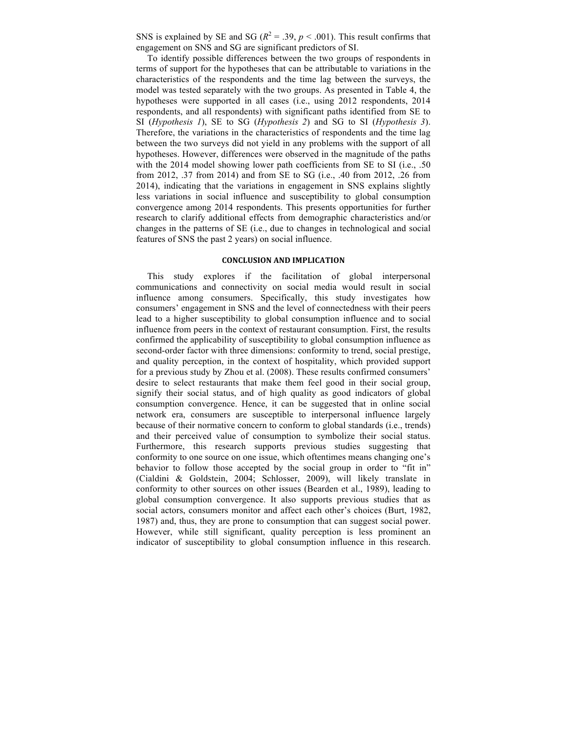SNS is explained by SE and SG ( $R^2 = .39$ ,  $p < .001$ ). This result confirms that engagement on SNS and SG are significant predictors of SI.

To identify possible differences between the two groups of respondents in terms of support for the hypotheses that can be attributable to variations in the characteristics of the respondents and the time lag between the surveys, the model was tested separately with the two groups. As presented in Table 4, the hypotheses were supported in all cases (i.e., using 2012 respondents, 2014 respondents, and all respondents) with significant paths identified from SE to SI (*Hypothesis 1*), SE to SG (*Hypothesis 2*) and SG to SI (*Hypothesis 3*). Therefore, the variations in the characteristics of respondents and the time lag between the two surveys did not yield in any problems with the support of all hypotheses. However, differences were observed in the magnitude of the paths with the 2014 model showing lower path coefficients from SE to SI (i.e., .50) from 2012, .37 from 2014) and from SE to SG (i.e., .40 from 2012, .26 from 2014), indicating that the variations in engagement in SNS explains slightly less variations in social influence and susceptibility to global consumption convergence among 2014 respondents. This presents opportunities for further research to clarify additional effects from demographic characteristics and/or changes in the patterns of SE (i.e., due to changes in technological and social features of SNS the past 2 years) on social influence.

## **CONCLUSION AND IMPLICATION**

This study explores if the facilitation of global interpersonal communications and connectivity on social media would result in social influence among consumers. Specifically, this study investigates how consumers' engagement in SNS and the level of connectedness with their peers lead to a higher susceptibility to global consumption influence and to social influence from peers in the context of restaurant consumption. First, the results confirmed the applicability of susceptibility to global consumption influence as second-order factor with three dimensions: conformity to trend, social prestige, and quality perception, in the context of hospitality, which provided support for a previous study by Zhou et al. (2008). These results confirmed consumers' desire to select restaurants that make them feel good in their social group, signify their social status, and of high quality as good indicators of global consumption convergence. Hence, it can be suggested that in online social network era, consumers are susceptible to interpersonal influence largely because of their normative concern to conform to global standards (i.e., trends) and their perceived value of consumption to symbolize their social status. Furthermore, this research supports previous studies suggesting that conformity to one source on one issue, which oftentimes means changing one's behavior to follow those accepted by the social group in order to "fit in" (Cialdini & Goldstein, 2004; Schlosser, 2009), will likely translate in conformity to other sources on other issues (Bearden et al., 1989), leading to global consumption convergence. It also supports previous studies that as social actors, consumers monitor and affect each other's choices (Burt, 1982, 1987) and, thus, they are prone to consumption that can suggest social power. However, while still significant, quality perception is less prominent an indicator of susceptibility to global consumption influence in this research.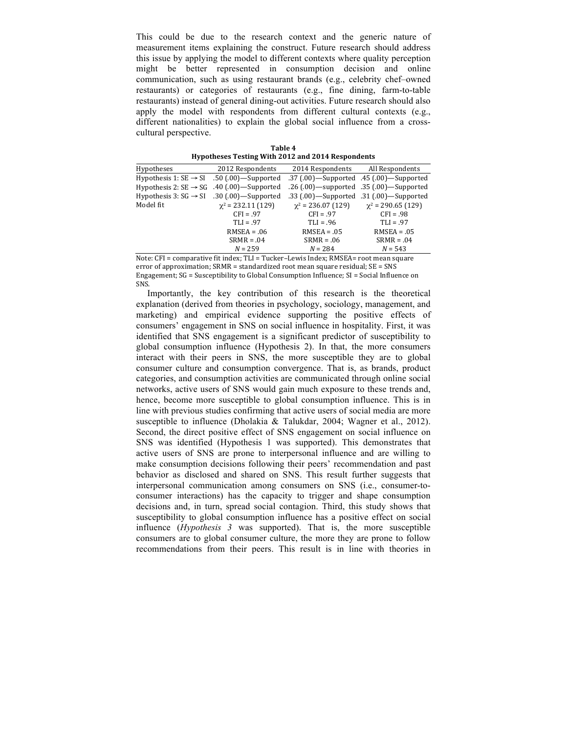This could be due to the research context and the generic nature of measurement items explaining the construct. Future research should address this issue by applying the model to different contexts where quality perception might be better represented in consumption decision and online communication, such as using restaurant brands (e.g., celebrity chef–owned restaurants) or categories of restaurants (e.g., fine dining, farm-to-table restaurants) instead of general dining-out activities. Future research should also apply the model with respondents from different cultural contexts (e.g., different nationalities) to explain the global social influence from a crosscultural perspective.

**Table 4 Hypotheses Testing With 2012 and 2014 Respondents**

| Hypotheses                        | 2012 Respondents          | 2014 Respondents                            | All Respondents                             |
|-----------------------------------|---------------------------|---------------------------------------------|---------------------------------------------|
| Hypothesis 1: $SE \rightarrow SI$ | $.50$ (.00) - Supported   | .37 (.00)—Supported .45 (.00)—Supported     |                                             |
| Hypothesis 2: $SE \rightarrow SG$ | $.40$ (.00) - Supported   |                                             | .26 (.00) — supported .35 (.00) — Supported |
| Hypothesis 3: $SG \rightarrow SI$ | $.30$ (.00) - Supported   | .33 (.00) - Supported .31 (.00) - Supported |                                             |
| Model fit                         | $\gamma^2$ = 232.11 (129) | $\gamma^2$ = 236.07 (129)                   | $\gamma^2$ = 290.65 (129)                   |
|                                   | $CFI = .97$               | $CFI = .97$                                 | $CFI = .98$                                 |
|                                   | $TLI = .97$               | $TLI = .96$                                 | $TLI = .97$                                 |
|                                   | $RMSEA = .06$             | $RMSEA = .05$                               | $RMSEA = .05$                               |
|                                   | $SRMR = .04$              | $SRMR = .06$                                | $SRMR = .04$                                |
|                                   | $N = 259$                 | $N = 284$                                   | $N = 543$                                   |

Note: CFI = comparative fit index; TLI = Tucker-Lewis Index; RMSEA= root mean square error of approximation:  $SRMR = standardized root mean square residual: SE = SNS$ Engagement;  $SG =$  Susceptibility to Global Consumption Influence;  $SI =$  Social Influence on SNS.

Importantly, the key contribution of this research is the theoretical explanation (derived from theories in psychology, sociology, management, and marketing) and empirical evidence supporting the positive effects of consumers' engagement in SNS on social influence in hospitality. First, it was identified that SNS engagement is a significant predictor of susceptibility to global consumption influence (Hypothesis 2). In that, the more consumers interact with their peers in SNS, the more susceptible they are to global consumer culture and consumption convergence. That is, as brands, product categories, and consumption activities are communicated through online social networks, active users of SNS would gain much exposure to these trends and, hence, become more susceptible to global consumption influence. This is in line with previous studies confirming that active users of social media are more susceptible to influence (Dholakia & Talukdar, 2004; Wagner et al., 2012). Second, the direct positive effect of SNS engagement on social influence on SNS was identified (Hypothesis 1 was supported). This demonstrates that active users of SNS are prone to interpersonal influence and are willing to make consumption decisions following their peers' recommendation and past behavior as disclosed and shared on SNS. This result further suggests that interpersonal communication among consumers on SNS (i.e., consumer-toconsumer interactions) has the capacity to trigger and shape consumption decisions and, in turn, spread social contagion. Third, this study shows that susceptibility to global consumption influence has a positive effect on social influence (*Hypothesis 3* was supported). That is, the more susceptible consumers are to global consumer culture, the more they are prone to follow recommendations from their peers. This result is in line with theories in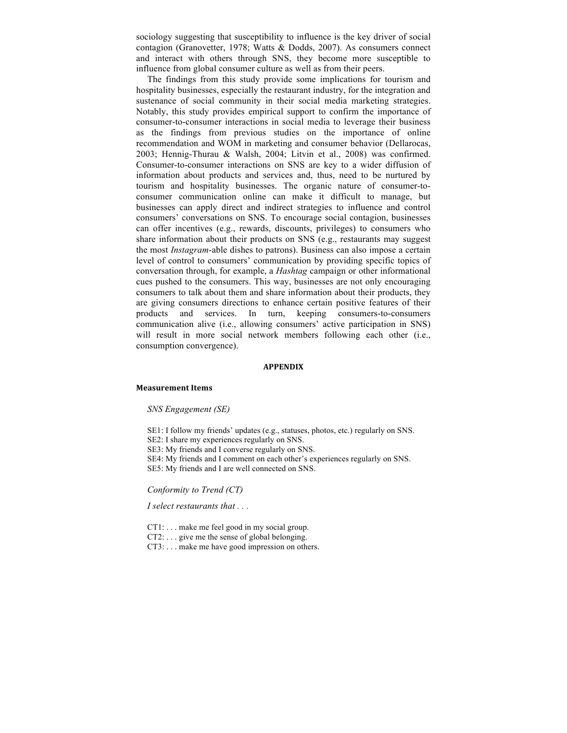sociology suggesting that susceptibility to influence is the key driver of social contagion (Granovetter, 1978; Watts & Dodds, 2007). As consumers connect and interact with others through SNS, they become more susceptible to influence from global consumer culture as well as from their peers.

The findings from this study provide some implications for tourism and hospitality businesses, especially the restaurant industry, for the integration and sustenance of social community in their social media marketing strategies. Notably, this study provides empirical support to confirm the importance of consumer-to-consumer interactions in social media to leverage their business as the findings from previous studies on the importance of online recommendation and WOM in marketing and consumer behavior (Dellarocas, 2003; Hennig-Thurau & Walsh, 2004; Litvin et al., 2008) was confirmed. Consumer-to-consumer interactions on SNS are key to a wider diffusion of information about products and services and, thus, need to be nurtured by tourism and hospitality businesses. The organic nature of consumer-toconsumer communication online can make it difficult to manage, but businesses can apply direct and indirect strategies to influence and control consumers' conversations on SNS. To encourage social contagion, businesses can offer incentives (e.g., rewards, discounts, privileges) to consumers who share information about their products on SNS (e.g., restaurants may suggest the most *Instagram*-able dishes to patrons). Business can also impose a certain level of control to consumers' communication by providing specific topics of conversation through, for example, a *Hashtag* campaign or other informational cues pushed to the consumers. This way, businesses are not only encouraging consumers to talk about them and share information about their products, they are giving consumers directions to enhance certain positive features of their products and services. In turn, keeping consumers-to-consumers communication alive (i.e., allowing consumers' active participation in SNS) will result in more social network members following each other (i.e., consumption convergence).

## **APPENDIX**

#### **Measurement Items**

#### *SNS Engagement (SE)*

- SE1: I follow my friends' updates (e.g., statuses, photos, etc.) regularly on SNS.
- SE2: I share my experiences regularly on SNS.
- SE3: My friends and I converse regularly on SNS.
- SE4: My friends and I comment on each other's experiences regularly on SNS.

SE5: My friends and I are well connected on SNS.

#### *Conformity to Trend (CT)*

## *I select restaurants that . . .*

CT1: . . . make me feel good in my social group.

- CT2: . . . give me the sense of global belonging.
- CT3: . . . make me have good impression on others.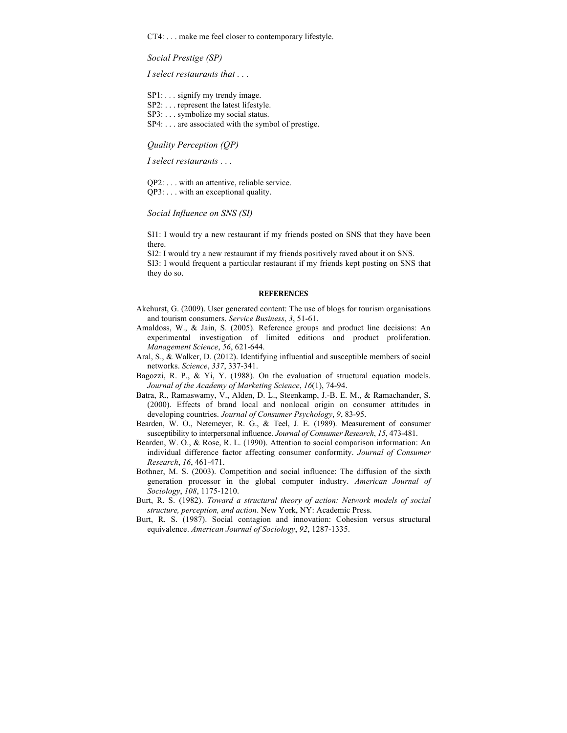CT4: . . . make me feel closer to contemporary lifestyle.

*Social Prestige (SP)*

*I select restaurants that . . .*

SP1: *. . .* signify my trendy image.

- SP2: . . . represent the latest lifestyle.
- SP3: . . . symbolize my social status.
- SP4: . . . are associated with the symbol of prestige.

*Quality Perception (QP)*

*I select restaurants . . .*

QP2: . . . with an attentive, reliable service. QP3: . . . with an exceptional quality.

*Social Influence on SNS (SI)*

SI1: I would try a new restaurant if my friends posted on SNS that they have been there.

SI2: I would try a new restaurant if my friends positively raved about it on SNS.

SI3: I would frequent a particular restaurant if my friends kept posting on SNS that they do so.

#### **REFERENCES**

- Akehurst, G. (2009). User generated content: The use of blogs for tourism organisations and tourism consumers. *Service Business*, *3*, 51-61.
- Amaldoss, W., & Jain, S. (2005). Reference groups and product line decisions: An experimental investigation of limited editions and product proliferation. *Management Science*, *56*, 621-644.
- Aral, S., & Walker, D. (2012). Identifying influential and susceptible members of social networks. *Science*, *337*, 337-341.
- Bagozzi, R. P., & Yi, Y. (1988). On the evaluation of structural equation models. *Journal of the Academy of Marketing Science*, *16*(1), 74-94.
- Batra, R., Ramaswamy, V., Alden, D. L., Steenkamp, J.-B. E. M., & Ramachander, S. (2000). Effects of brand local and nonlocal origin on consumer attitudes in developing countries. *Journal of Consumer Psychology*, *9*, 83-95.
- Bearden, W. O., Netemeyer, R. G., & Teel, J. E. (1989). Measurement of consumer susceptibility to interpersonal influence. *Journal of Consumer Research*, *15*, 473-481.
- Bearden, W. O., & Rose, R. L. (1990). Attention to social comparison information: An individual difference factor affecting consumer conformity. *Journal of Consumer Research*, *16*, 461-471.
- Bothner, M. S. (2003). Competition and social influence: The diffusion of the sixth generation processor in the global computer industry. *American Journal of Sociology*, *108*, 1175-1210.
- Burt, R. S. (1982). *Toward a structural theory of action: Network models of social structure, perception, and action*. New York, NY: Academic Press.
- Burt, R. S. (1987). Social contagion and innovation: Cohesion versus structural equivalence. *American Journal of Sociology*, *92*, 1287-1335.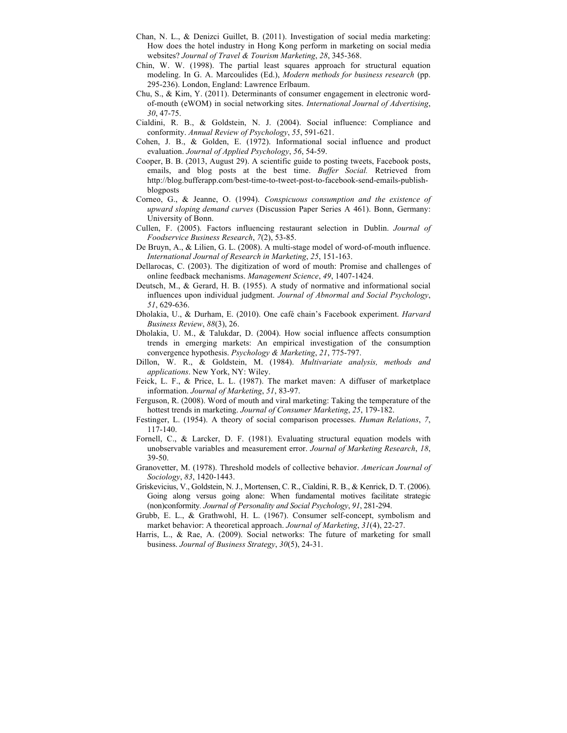- Chan, N. L., & Denizci Guillet, B. (2011). Investigation of social media marketing: How does the hotel industry in Hong Kong perform in marketing on social media websites? *Journal of Travel & Tourism Marketing*, *28*, 345-368.
- Chin, W. W. (1998). The partial least squares approach for structural equation modeling. In G. A. Marcoulides (Ed.), *Modern methods for business research* (pp. 295-236). London, England: Lawrence Erlbaum.
- Chu, S., & Kim, Y. (2011). Determinants of consumer engagement in electronic wordof-mouth (eWOM) in social networking sites. *International Journal of Advertising*, *30*, 47-75.
- Cialdini, R. B., & Goldstein, N. J. (2004). Social influence: Compliance and conformity. *Annual Review of Psychology*, *55*, 591-621.
- Cohen, J. B., & Golden, E. (1972). Informational social influence and product evaluation. *Journal of Applied Psychology*, *56*, 54-59.
- Cooper, B. B. (2013, August 29). A scientific guide to posting tweets, Facebook posts, emails, and blog posts at the best time. *Buffer Social.* Retrieved from http://blog.bufferapp.com/best-time-to-tweet-post-to-facebook-send-emails-publishblogposts
- Corneo, G., & Jeanne, O. (1994). *Conspicuous consumption and the existence of upward sloping demand curves* (Discussion Paper Series A 461). Bonn, Germany: University of Bonn.
- Cullen, F. (2005). Factors influencing restaurant selection in Dublin. *Journal of Foodservice Business Research*, *7*(2), 53-85.
- De Bruyn, A., & Lilien, G. L. (2008). A multi-stage model of word-of-mouth influence. *International Journal of Research in Marketing*, *25*, 151-163.
- Dellarocas, C. (2003). The digitization of word of mouth: Promise and challenges of online feedback mechanisms. *Management Science*, *49*, 1407-1424.
- Deutsch, M., & Gerard, H. B. (1955). A study of normative and informational social influences upon individual judgment. *Journal of Abnormal and Social Psychology*, *51*, 629-636.
- Dholakia, U., & Durham, E. (2010). One café chain's Facebook experiment. *Harvard Business Review*, *88*(3), 26.
- Dholakia, U. M., & Talukdar, D. (2004). How social influence affects consumption trends in emerging markets: An empirical investigation of the consumption convergence hypothesis. *Psychology & Marketing*, *21*, 775-797.
- Dillon, W. R., & Goldstein, M. (1984). *Multivariate analysis, methods and applications*. New York, NY: Wiley.
- Feick, L. F., & Price, L. L. (1987). The market maven: A diffuser of marketplace information. *Journal of Marketing*, *51*, 83-97.
- Ferguson, R. (2008). Word of mouth and viral marketing: Taking the temperature of the hottest trends in marketing. *Journal of Consumer Marketing*, *25*, 179-182.
- Festinger, L. (1954). A theory of social comparison processes. *Human Relations*, *7*, 117-140.
- Fornell, C., & Larcker, D. F. (1981). Evaluating structural equation models with unobservable variables and measurement error. *Journal of Marketing Research*, *18*, 39-50.
- Granovetter, M. (1978). Threshold models of collective behavior. *American Journal of Sociology*, *83*, 1420-1443.
- Griskevicius, V., Goldstein, N. J., Mortensen, C. R., Cialdini, R. B., & Kenrick, D. T. (2006). Going along versus going alone: When fundamental motives facilitate strategic (non)conformity*. Journal of Personality and Social Psychology*, *91*, 281-294.
- Grubb, E. L., & Grathwohl, H. L. (1967). Consumer self-concept, symbolism and market behavior: A theoretical approach. *Journal of Marketing*, *31*(4), 22-27.
- Harris, L., & Rae, A. (2009). Social networks: The future of marketing for small business. *Journal of Business Strategy*, *30*(5), 24-31.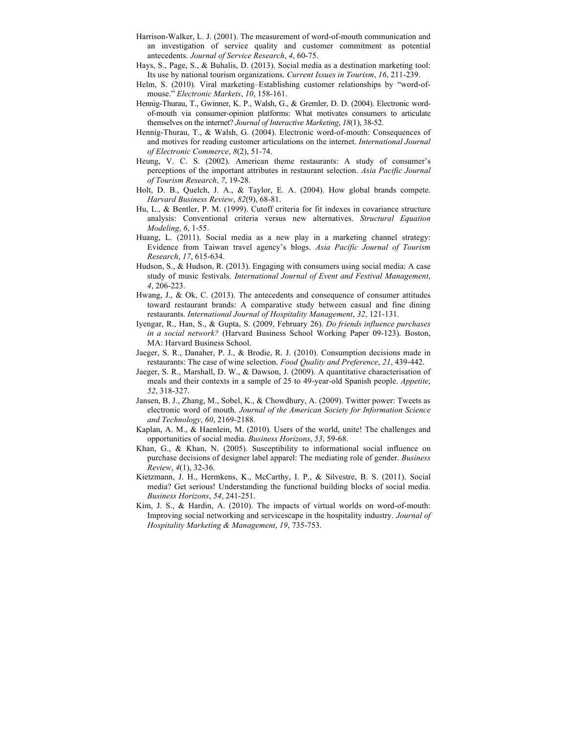- Harrison-Walker, L. J. (2001). The measurement of word-of-mouth communication and an investigation of service quality and customer commitment as potential antecedents. *Journal of Service Research*, *4*, 60-75.
- Hays, S., Page, S., & Buhalis, D. (2013). Social media as a destination marketing tool: Its use by national tourism organizations. *Current Issues in Tourism*, *16*, 211-239.
- Helm, S. (2010). Viral marketing–Establishing customer relationships by "word-ofmouse." *Electronic Markets*, *10*, 158-161.
- Hennig-Thurau, T., Gwinner, K. P., Walsh, G., & Gremler, D. D. (2004). Electronic wordof-mouth via consumer-opinion platforms: What motivates consumers to articulate themselves on the internet? *Journal of Interactive Marketing*, *18*(1), 38-52.
- Hennig-Thurau, T., & Walsh, G. (2004). Electronic word-of-mouth: Consequences of and motives for reading customer articulations on the internet. *International Journal of Electronic Commerce*, *8*(2), 51-74.
- Heung, V. C. S. (2002). American theme restaurants: A study of consumer's perceptions of the important attributes in restaurant selection. *Asia Pacific Journal of Tourism Research*, *7*, 19-28.
- Holt, D. B., Quelch, J. A., & Taylor, E. A. (2004). How global brands compete. *Harvard Business Review*, *82*(9), 68-81.
- Hu, L., & Bentler, P. M. (1999). Cutoff criteria for fit indexes in covariance structure analysis: Conventional criteria versus new alternatives. *Structural Equation Modeling*, *6*, 1-55.
- Huang, L. (2011). Social media as a new play in a marketing channel strategy: Evidence from Taiwan travel agency's blogs. *Asia Pacific Journal of Tourism Research*, *17*, 615-634.
- Hudson, S., & Hudson, R. (2013). Engaging with consumers using social media: A case study of music festivals. *International Journal of Event and Festival Management*, *4*, 206-223.
- Hwang, J., & Ok, C. (2013). The antecedents and consequence of consumer attitudes toward restaurant brands: A comparative study between casual and fine dining restaurants. *International Journal of Hospitality Management*, *32*, 121-131.
- Iyengar, R., Han, S., & Gupta, S. (2009, February 26). *Do friends influence purchases in a social network?* (Harvard Business School Working Paper 09-123). Boston, MA: Harvard Business School.
- Jaeger, S. R., Danaher, P. J., & Brodie, R. J. (2010). Consumption decisions made in restaurants: The case of wine selection. *Food Quality and Preference*, *21*, 439-442.
- Jaeger, S. R., Marshall, D. W., & Dawson, J. (2009). A quantitative characterisation of meals and their contexts in a sample of 25 to 49-year-old Spanish people. *Appetite*, *52*, 318-327.
- Jansen, B. J., Zhang, M., Sobel, K., & Chowdhury, A. (2009). Twitter power: Tweets as electronic word of mouth. *Journal of the American Society for Information Science and Technology*, *60*, 2169-2188.
- Kaplan, A. M., & Haenlein, M. (2010). Users of the world, unite! The challenges and opportunities of social media. *Business Horizons*, *53*, 59-68.
- Khan, G., & Khan, N. (2005). Susceptibility to informational social influence on purchase decisions of designer label apparel: The mediating role of gender. *Business Review*, *4*(1), 32-36.
- Kietzmann, J. H., Hermkens, K., McCarthy, I. P., & Silvestre, B. S. (2011). Social media? Get serious! Understanding the functional building blocks of social media. *Business Horizons*, *54*, 241-251.
- Kim, J. S., & Hardin, A. (2010). The impacts of virtual worlds on word-of-mouth: Improving social networking and servicescape in the hospitality industry. *Journal of Hospitality Marketing & Management*, *19*, 735-753.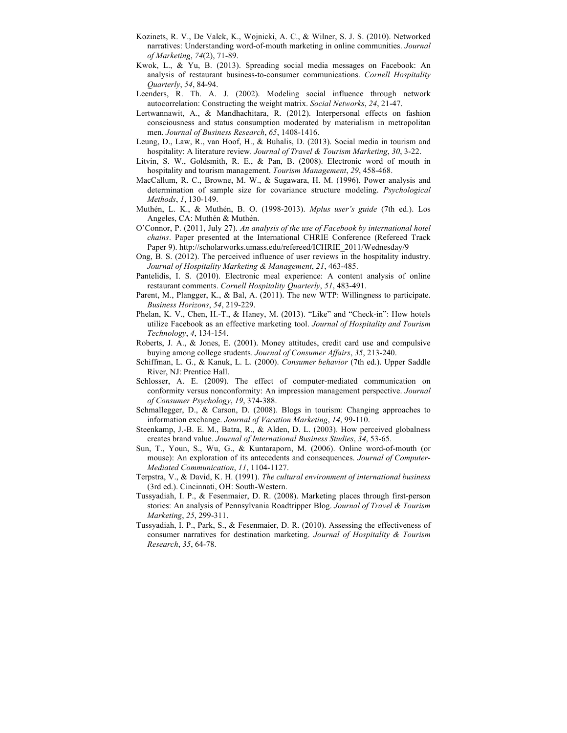- Kozinets, R. V., De Valck, K., Wojnicki, A. C., & Wilner, S. J. S. (2010). Networked narratives: Understanding word-of-mouth marketing in online communities. *Journal of Marketing*, *74*(2), 71-89.
- Kwok, L., & Yu, B. (2013). Spreading social media messages on Facebook: An analysis of restaurant business-to-consumer communications. *Cornell Hospitality Quarterly*, *54*, 84-94.
- Leenders, R. Th. A. J. (2002). Modeling social influence through network autocorrelation: Constructing the weight matrix. *Social Networks*, *24*, 21-47.
- Lertwannawit, A., & Mandhachitara, R. (2012). Interpersonal effects on fashion consciousness and status consumption moderated by materialism in metropolitan men. *Journal of Business Research*, *65*, 1408-1416.
- Leung, D., Law, R., van Hoof, H., & Buhalis, D. (2013). Social media in tourism and hospitality: A literature review. *Journal of Travel & Tourism Marketing*, *30*, 3-22.
- Litvin, S. W., Goldsmith, R. E., & Pan, B. (2008). Electronic word of mouth in hospitality and tourism management. *Tourism Management*, *29*, 458-468.
- MacCallum, R. C., Browne, M. W., & Sugawara, H. M. (1996). Power analysis and determination of sample size for covariance structure modeling. *Psychological Methods*, *1*, 130-149.
- Muthén, L. K., & Muthén, B. O. (1998-2013). *Mplus user's guide* (7th ed.). Los Angeles, CA: Muthén & Muthén.
- O'Connor, P. (2011, July 27). *An analysis of the use of Facebook by international hotel chains*. Paper presented at the International CHRIE Conference (Refereed Track Paper 9). http://scholarworks.umass.edu/refereed/ICHRIE\_2011/Wednesday/9
- Ong, B. S. (2012). The perceived influence of user reviews in the hospitality industry. *Journal of Hospitality Marketing & Management*, *21*, 463-485.
- Pantelidis, I. S. (2010). Electronic meal experience: A content analysis of online restaurant comments. *Cornell Hospitality Quarterly*, *51*, 483-491.
- Parent, M., Plangger, K., & Bal, A. (2011). The new WTP: Willingness to participate. *Business Horizons*, *54*, 219-229.
- Phelan, K. V., Chen, H.-T., & Haney, M. (2013). "Like" and "Check-in": How hotels utilize Facebook as an effective marketing tool. *Journal of Hospitality and Tourism Technology*, *4*, 134-154.
- Roberts, J. A., & Jones, E. (2001). Money attitudes, credit card use and compulsive buying among college students. *Journal of Consumer Affairs*, *35*, 213-240.
- Schiffman, L. G., & Kanuk, L. L. (2000). *Consumer behavior* (7th ed.). Upper Saddle River, NJ: Prentice Hall.
- Schlosser, A. E. (2009). The effect of computer-mediated communication on conformity versus nonconformity: An impression management perspective. *Journal of Consumer Psychology*, *19*, 374-388.
- Schmallegger, D., & Carson, D. (2008). Blogs in tourism: Changing approaches to information exchange. *Journal of Vacation Marketing*, *14*, 99-110.
- Steenkamp, J.-B. E. M., Batra, R., & Alden, D. L. (2003). How perceived globalness creates brand value. *Journal of International Business Studies*, *34*, 53-65.
- Sun, T., Youn, S., Wu, G., & Kuntaraporn, M. (2006). Online word-of-mouth (or mouse): An exploration of its antecedents and consequences. *Journal of Computer-Mediated Communication*, *11*, 1104-1127.
- Terpstra, V., & David, K. H. (1991). *The cultural environment of international business* (3rd ed.). Cincinnati, OH: South-Western.
- Tussyadiah, I. P., & Fesenmaier, D. R. (2008). Marketing places through first-person stories: An analysis of Pennsylvania Roadtripper Blog. *Journal of Travel & Tourism Marketing*, *25*, 299-311.
- Tussyadiah, I. P., Park, S., & Fesenmaier, D. R. (2010). Assessing the effectiveness of consumer narratives for destination marketing. *Journal of Hospitality & Tourism Research*, *35*, 64-78.